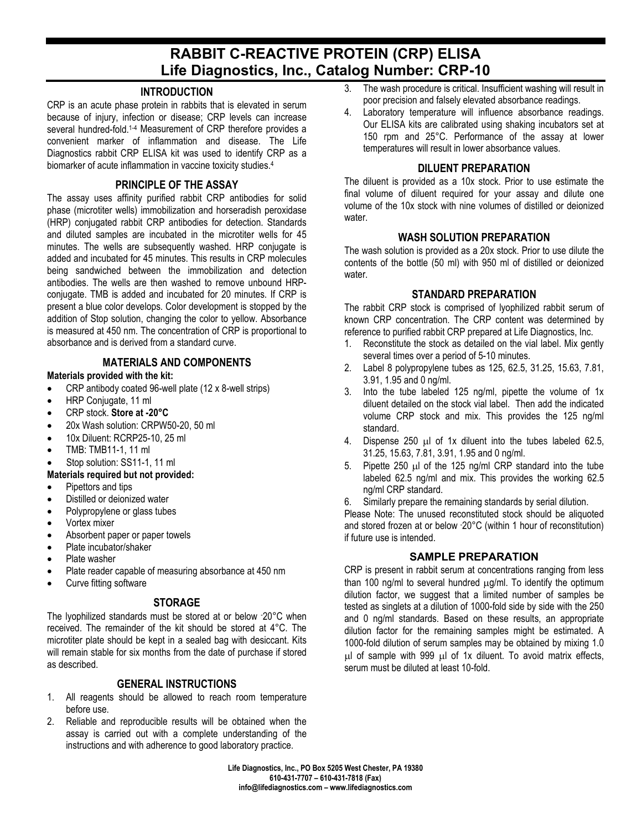# **RABBIT C-REACTIVE PROTEIN (CRP) ELISA Life Diagnostics, Inc., Catalog Number: CRP-10**

#### **INTRODUCTION**

CRP is an acute phase protein in rabbits that is elevated in serum because of injury, infection or disease; CRP levels can increase several hundred-fold.<sup>1-4</sup> Measurement of CRP therefore provides a convenient marker of inflammation and disease. The Life Diagnostics rabbit CRP ELISA kit was used to identify CRP as a biomarker of acute inflammation in vaccine toxicity studies.4

### **PRINCIPLE OF THE ASSAY**

The assay uses affinity purified rabbit CRP antibodies for solid phase (microtiter wells) immobilization and horseradish peroxidase (HRP) conjugated rabbit CRP antibodies for detection. Standards and diluted samples are incubated in the microtiter wells for 45 minutes. The wells are subsequently washed. HRP conjugate is added and incubated for 45 minutes. This results in CRP molecules being sandwiched between the immobilization and detection antibodies. The wells are then washed to remove unbound HRPconjugate. TMB is added and incubated for 20 minutes. If CRP is present a blue color develops. Color development is stopped by the addition of Stop solution, changing the color to yellow. Absorbance is measured at 450 nm. The concentration of CRP is proportional to absorbance and is derived from a standard curve.

### **MATERIALS AND COMPONENTS**

#### **Materials provided with the kit:**

- CRP antibody coated 96-well plate (12 x 8-well strips)
- HRP Conjugate, 11 ml
- CRP stock. **Store at -20°C**
- 20x Wash solution: CRPW50-20, 50 ml
- 10x Diluent: RCRP25-10, 25 ml
- TMB: TMB11-1, 11 ml
- Stop solution: SS11-1, 11 ml

### **Materials required but not provided:**

- Pipettors and tips
- Distilled or deionized water
- Polypropylene or glass tubes
- Vortex mixer
- Absorbent paper or paper towels
- Plate incubator/shaker
- Plate washer
- Plate reader capable of measuring absorbance at 450 nm
- Curve fitting software

#### **STORAGE**

The lyophilized standards must be stored at or below - 20°C when received. The remainder of the kit should be stored at 4°C. The microtiter plate should be kept in a sealed bag with desiccant. Kits will remain stable for six months from the date of purchase if stored as described.

# **GENERAL INSTRUCTIONS**

- 1. All reagents should be allowed to reach room temperature before use.
- 2. Reliable and reproducible results will be obtained when the assay is carried out with a complete understanding of the instructions and with adherence to good laboratory practice.
- 3. The wash procedure is critical. Insufficient washing will result in poor precision and falsely elevated absorbance readings.
- 4. Laboratory temperature will influence absorbance readings. Our ELISA kits are calibrated using shaking incubators set at 150 rpm and 25°C. Performance of the assay at lower temperatures will result in lower absorbance values.

### **DILUENT PREPARATION**

The diluent is provided as a 10x stock. Prior to use estimate the final volume of diluent required for your assay and dilute one volume of the 10x stock with nine volumes of distilled or deionized water.

### **WASH SOLUTION PREPARATION**

The wash solution is provided as a 20x stock. Prior to use dilute the contents of the bottle (50 ml) with 950 ml of distilled or deionized water.

### **STANDARD PREPARATION**

The rabbit CRP stock is comprised of lyophilized rabbit serum of known CRP concentration. The CRP content was determined by reference to purified rabbit CRP prepared at Life Diagnostics, Inc.

- 1. Reconstitute the stock as detailed on the vial label. Mix gently several times over a period of 5-10 minutes.
- 2. Label 8 polypropylene tubes as 125, 62.5, 31.25, 15.63, 7.81, 3.91, 1.95 and 0 ng/ml.
- 3. Into the tube labeled 125 ng/ml, pipette the volume of 1x diluent detailed on the stock vial label. Then add the indicated volume CRP stock and mix. This provides the 125 ng/ml standard.
- 4. Dispense 250 µl of 1x diluent into the tubes labeled 62.5, 31.25, 15.63, 7.81, 3.91, 1.95 and 0 ng/ml.
- 5. Pipette 250 µl of the 125 ng/ml CRP standard into the tube labeled 62.5 ng/ml and mix. This provides the working 62.5 ng/ml CRP standard.
- 6. Similarly prepare the remaining standards by serial dilution.

Please Note: The unused reconstituted stock should be aliquoted and stored frozen at or below - 20°C (within 1 hour of reconstitution) if future use is intended.

# **SAMPLE PREPARATION**

CRP is present in rabbit serum at concentrations ranging from less than 100 ng/ml to several hundred  $\mu$ g/ml. To identify the optimum dilution factor, we suggest that a limited number of samples be tested as singlets at a dilution of 1000-fold side by side with the 250 and 0 ng/ml standards. Based on these results, an appropriate dilution factor for the remaining samples might be estimated. A 1000-fold dilution of serum samples may be obtained by mixing 1.0 µl of sample with 999 µl of 1x diluent. To avoid matrix effects, serum must be diluted at least 10-fold.

**Life Diagnostics, Inc., PO Box 5205 West Chester, PA 19380 610-431-7707 – 610-431-7818 (Fax) info@lifediagnostics.com – www.lifediagnostics.com**